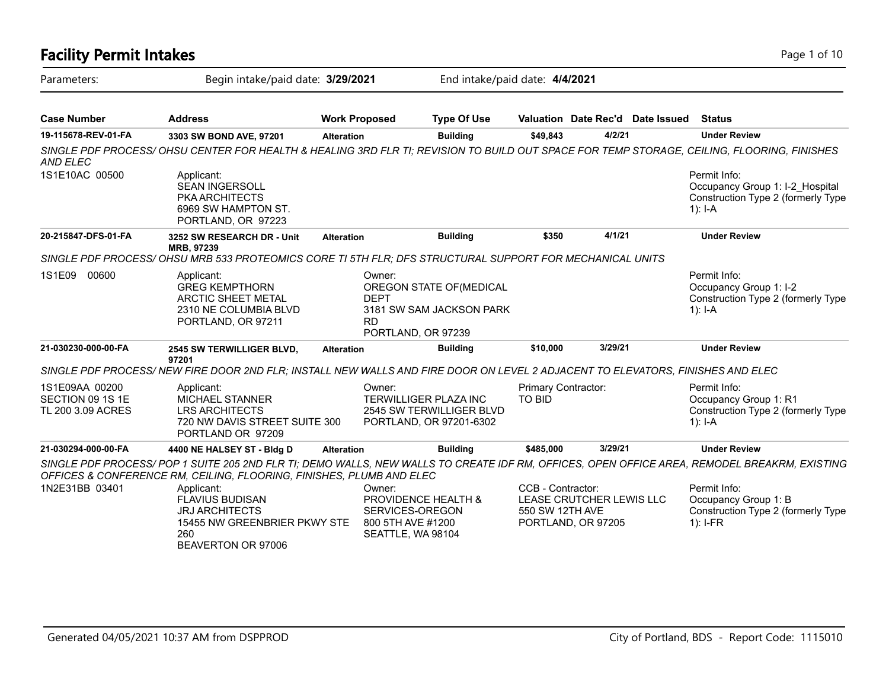## **Facility Permit Intakes** Page 1 of 10 Parameters: Begin intake/paid date: **3/29/2021** End intake/paid date: **4/4/2021 Case Number Address Work Proposed Type Of Use Valuation Date Rec'd Date Issued Status 19-115678-REV-01-FA 3303 SW BOND AVE, 97201 Alteration Building \$49,843 4/2/21 Under Review** *SINGLE PDF PROCESS/ OHSU CENTER FOR HEALTH & HEALING 3RD FLR TI; REVISION TO BUILD OUT SPACE FOR TEMP STORAGE, CEILING, FLOORING, FINISHES AND ELEC* Permit Info: Occupancy Group 1: I-2\_Hospital Construction Type 2 (formerly Type 1): I-A Applicant: SEAN INGERSOLL PKA ARCHITECTS 6969 SW HAMPTON ST. PORTLAND, OR 97223 1S1E10AC 00500 **20-215847-DFS-01-FA 3252 SW RESEARCH DR - Unit MRB, 97239 Alteration Building \$350 4/1/21 Under Review** *SINGLE PDF PROCESS/ OHSU MRB 533 PROTEOMICS CORE TI 5TH FLR; DFS STRUCTURAL SUPPORT FOR MECHANICAL UNITS* Permit Info: Occupancy Group 1: I-2 Construction Type 2 (formerly Type 1): I-A Owner: OREGON STATE OF(MEDICAL DEPT 3181 SW SAM JACKSON PARK RD PORTLAND, OR 97239 Applicant: GREG KEMPTHORN ARCTIC SHEET METAL 2310 NE COLUMBIA BLVD PORTLAND, OR 97211 1S1E09 00600 **21-030230-000-00-FA 2545 SW TERWILLIGER BLVD, 97201 Alteration Building \$10,000 3/29/21 Under Review** *SINGLE PDF PROCESS/ NEW FIRE DOOR 2ND FLR; INSTALL NEW WALLS AND FIRE DOOR ON LEVEL 2 ADJACENT TO ELEVATORS, FINISHES AND ELEC* Permit Info: Occupancy Group 1: R1 Construction Type 2 (formerly Type 1): I-A Primary Contractor: TO BID Owner: TERWILLIGER PLAZA INC 2545 SW TERWILLIGER BLVD PORTLAND, OR 97201-6302 Applicant: MICHAEL STANNER LRS ARCHITECTS 720 NW DAVIS STREET SUITE 300 PORTLAND OR 97209 1S1E09AA 00200 SECTION 09 1S 1E TL 200 3.09 ACRES **21-030294-000-00-FA 4400 NE HALSEY ST - Bldg D Alteration Building \$485,000 3/29/21 Under Review** *SINGLE PDF PROCESS/ POP 1 SUITE 205 2ND FLR TI; DEMO WALLS, NEW WALLS TO CREATE IDF RM, OFFICES, OPEN OFFICE AREA, REMODEL BREAKRM, EXISTING OFFICES & CONFERENCE RM, CEILING, FLOORING, FINISHES, PLUMB AND ELEC* Permit Info: Occupancy Group 1: B Construction Type 2 (formerly Type 1): I-FR CCB - Contractor: LEASE CRUTCHER LEWIS LLC 550 SW 12TH AVE PORTLAND, OR 97205 Owner: PROVIDENCE HEALTH & SERVICES-OREGON 800 5TH AVE #1200 SEATTLE, WA 98104 Applicant: FLAVIUS BUDISAN JRJ ARCHITECTS 15455 NW GREENBRIER PKWY STE 260 BEAVERTON OR 97006 1N2E31BB 03401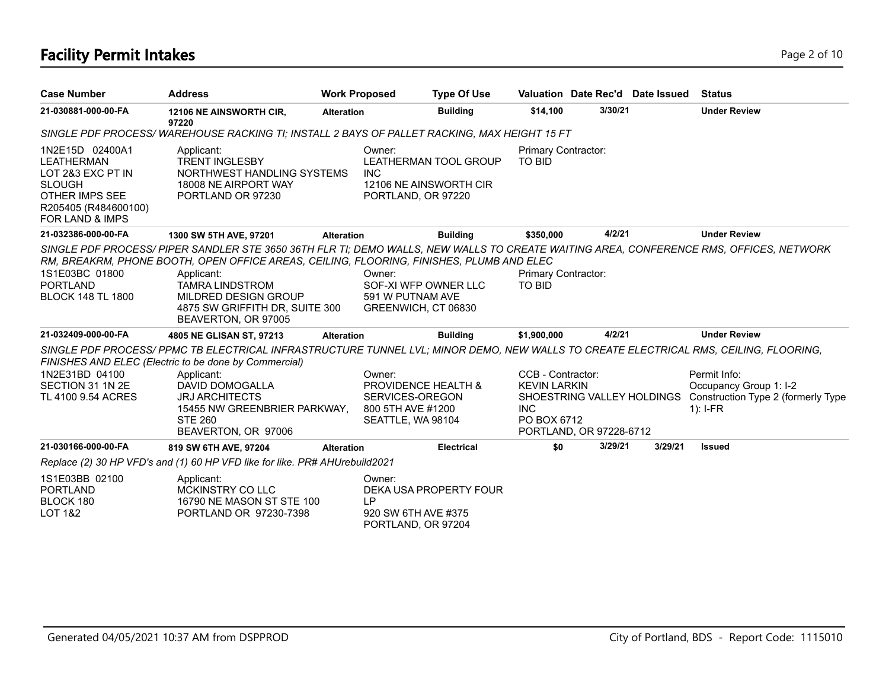# **Facility Permit Intakes** Page 2 of 10

| <b>Case Number</b>                                                                                                                                        | <b>Address</b>                                                                                                                                                                                                                                                                                                                                              | <b>Work Proposed</b> |                                                                                            | <b>Type Of Use</b> | Valuation Date Rec'd Date Issued                                                                                               |         |         | <b>Status</b>                                                                              |
|-----------------------------------------------------------------------------------------------------------------------------------------------------------|-------------------------------------------------------------------------------------------------------------------------------------------------------------------------------------------------------------------------------------------------------------------------------------------------------------------------------------------------------------|----------------------|--------------------------------------------------------------------------------------------|--------------------|--------------------------------------------------------------------------------------------------------------------------------|---------|---------|--------------------------------------------------------------------------------------------|
| 21-030881-000-00-FA                                                                                                                                       | 12106 NE AINSWORTH CIR,<br>97220                                                                                                                                                                                                                                                                                                                            | <b>Alteration</b>    |                                                                                            | <b>Building</b>    | \$14,100                                                                                                                       | 3/30/21 |         | <b>Under Review</b>                                                                        |
|                                                                                                                                                           | SINGLE PDF PROCESS/WAREHOUSE RACKING TI; INSTALL 2 BAYS OF PALLET RACKING, MAX HEIGHT 15 FT                                                                                                                                                                                                                                                                 |                      |                                                                                            |                    |                                                                                                                                |         |         |                                                                                            |
| 1N2E15D 02400A1<br><b>LEATHERMAN</b><br>LOT 2&3 EXC PT IN<br><b>SLOUGH</b><br><b>OTHER IMPS SEE</b><br>R205405 (R484600100)<br><b>FOR LAND &amp; IMPS</b> | Applicant:<br><b>TRENT INGLESBY</b><br>NORTHWEST HANDLING SYSTEMS<br>18008 NE AIRPORT WAY<br>PORTLAND OR 97230                                                                                                                                                                                                                                              | <b>INC</b>           | Owner:<br><b>LEATHERMAN TOOL GROUP</b><br>12106 NE AINSWORTH CIR<br>PORTLAND, OR 97220     |                    | <b>Primary Contractor:</b><br><b>TO BID</b>                                                                                    |         |         |                                                                                            |
| 21-032386-000-00-FA                                                                                                                                       | 1300 SW 5TH AVE, 97201                                                                                                                                                                                                                                                                                                                                      | <b>Alteration</b>    |                                                                                            | <b>Building</b>    | \$350,000                                                                                                                      | 4/2/21  |         | <b>Under Review</b>                                                                        |
| 1S1E03BC 01800<br><b>PORTLAND</b><br><b>BLOCK 148 TL 1800</b>                                                                                             | SINGLE PDF PROCESS/ PIPER SANDLER STE 3650 36TH FLR TI; DEMO WALLS, NEW WALLS TO CREATE WAITING AREA, CONFERENCE RMS, OFFICES, NETWORK<br>RM, BREAKRM, PHONE BOOTH, OPEN OFFICE AREAS, CEILING, FLOORING, FINISHES, PLUMB AND ELEC<br>Applicant:<br><b>TAMRA LINDSTROM</b><br>MILDRED DESIGN GROUP<br>4875 SW GRIFFITH DR, SUITE 300<br>BEAVERTON, OR 97005 |                      | Owner:<br>SOF-XI WFP OWNER LLC<br>591 W PUTNAM AVE<br>GREENWICH, CT 06830                  |                    | <b>Primary Contractor:</b><br><b>TO BID</b>                                                                                    |         |         |                                                                                            |
| 21-032409-000-00-FA                                                                                                                                       | 4805 NE GLISAN ST, 97213                                                                                                                                                                                                                                                                                                                                    | <b>Alteration</b>    |                                                                                            | <b>Building</b>    | \$1,900,000                                                                                                                    | 4/2/21  |         | <b>Under Review</b>                                                                        |
|                                                                                                                                                           | SINGLE PDF PROCESS/PPMC TB ELECTRICAL INFRASTRUCTURE TUNNEL LVL; MINOR DEMO, NEW WALLS TO CREATE ELECTRICAL RMS, CEILING, FLOORING,<br>FINISHES AND ELEC (Electric to be done by Commercial)                                                                                                                                                                |                      |                                                                                            |                    |                                                                                                                                |         |         |                                                                                            |
| 1N2E31BD 04100<br>SECTION 31 1N 2E<br>TL 4100 9.54 ACRES                                                                                                  | Applicant:<br>DAVID DOMOGALLA<br><b>JRJ ARCHITECTS</b><br>15455 NW GREENBRIER PARKWAY.<br><b>STE 260</b><br>BEAVERTON, OR 97006                                                                                                                                                                                                                             |                      | Owner:<br>PROVIDENCE HEALTH &<br>SERVICES-OREGON<br>800 5TH AVE #1200<br>SEATTLE, WA 98104 |                    | CCB - Contractor:<br><b>KEVIN LARKIN</b><br>SHOESTRING VALLEY HOLDINGS<br><b>INC</b><br>PO BOX 6712<br>PORTLAND, OR 97228-6712 |         |         | Permit Info:<br>Occupancy Group 1: I-2<br>Construction Type 2 (formerly Type<br>$1$ : I-FR |
| 21-030166-000-00-FA                                                                                                                                       | 819 SW 6TH AVE, 97204                                                                                                                                                                                                                                                                                                                                       | <b>Alteration</b>    |                                                                                            | <b>Electrical</b>  | \$0                                                                                                                            | 3/29/21 | 3/29/21 | <b>Issued</b>                                                                              |
|                                                                                                                                                           | Replace (2) 30 HP VFD's and (1) 60 HP VFD like for like. PR# AHUrebuild2021                                                                                                                                                                                                                                                                                 |                      |                                                                                            |                    |                                                                                                                                |         |         |                                                                                            |
| 1S1E03BB 02100<br><b>PORTLAND</b><br>BLOCK 180<br><b>LOT 1&amp;2</b>                                                                                      | Applicant:<br>MCKINSTRY CO LLC<br>16790 NE MASON ST STE 100<br>PORTLAND OR 97230-7398                                                                                                                                                                                                                                                                       | <b>LP</b>            | Owner:<br>DEKA USA PROPERTY FOUR<br>920 SW 6TH AVE #375<br>PORTLAND, OR 97204              |                    |                                                                                                                                |         |         |                                                                                            |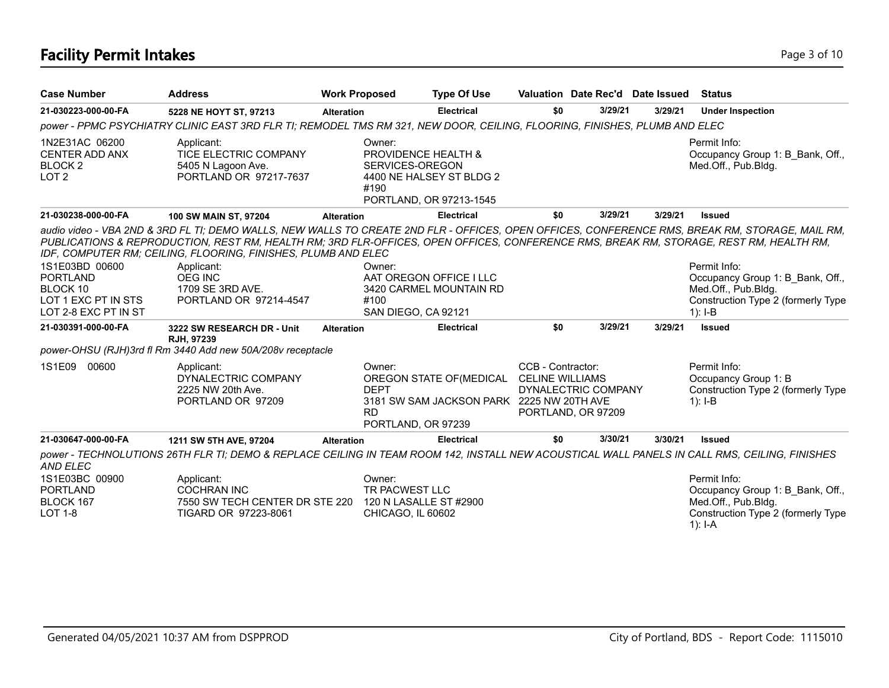# **Facility Permit Intakes** Page 3 of 10

| <b>Case Number</b>                                                     | <b>Address</b>                                                                                                                                                                                                                                                                                                                                                                      |                   | <b>Work Proposed</b>                                                    | <b>Type Of Use</b>                                                    | Valuation Date Rec'd Date Issued                                                         |         |         | <b>Status</b>                                                                                                              |
|------------------------------------------------------------------------|-------------------------------------------------------------------------------------------------------------------------------------------------------------------------------------------------------------------------------------------------------------------------------------------------------------------------------------------------------------------------------------|-------------------|-------------------------------------------------------------------------|-----------------------------------------------------------------------|------------------------------------------------------------------------------------------|---------|---------|----------------------------------------------------------------------------------------------------------------------------|
| 21-030223-000-00-FA                                                    | 5228 NE HOYT ST, 97213                                                                                                                                                                                                                                                                                                                                                              | <b>Alteration</b> |                                                                         | <b>Electrical</b>                                                     | \$0                                                                                      | 3/29/21 | 3/29/21 | <b>Under Inspection</b>                                                                                                    |
|                                                                        | power - PPMC PSYCHIATRY CLINIC EAST 3RD FLR TI; REMODEL TMS RM 321, NEW DOOR, CEILING, FLOORING, FINISHES, PLUMB AND ELEC                                                                                                                                                                                                                                                           |                   |                                                                         |                                                                       |                                                                                          |         |         |                                                                                                                            |
| 1N2E31AC 06200<br>CENTER ADD ANX<br><b>BLOCK 2</b><br>LOT <sub>2</sub> | Applicant:<br>TICE ELECTRIC COMPANY<br>5405 N Lagoon Ave.<br>PORTLAND OR 97217-7637                                                                                                                                                                                                                                                                                                 |                   | Owner:<br>PROVIDENCE HEALTH &<br>SERVICES-OREGON<br>#190                | 4400 NE HALSEY ST BLDG 2<br>PORTLAND, OR 97213-1545                   |                                                                                          |         |         | Permit Info:<br>Occupancy Group 1: B Bank, Off.,<br>Med.Off., Pub.Bldg.                                                    |
| 21-030238-000-00-FA                                                    | 100 SW MAIN ST, 97204                                                                                                                                                                                                                                                                                                                                                               | <b>Alteration</b> |                                                                         | <b>Electrical</b>                                                     | \$0                                                                                      | 3/29/21 | 3/29/21 | <b>Issued</b>                                                                                                              |
| 1S1E03BD 00600<br><b>PORTLAND</b>                                      | audio video - VBA 2ND & 3RD FL TI; DEMO WALLS, NEW WALLS TO CREATE 2ND FLR - OFFICES, OPEN OFFICES, CONFERENCE RMS, BREAK RM, STORAGE, MAIL RM,<br>PUBLICATIONS & REPRODUCTION, REST RM, HEALTH RM; 3RD FLR-OFFICES, OPEN OFFICES, CONFERENCE RMS, BREAK RM, STORAGE, REST RM, HEALTH RM,<br>IDF, COMPUTER RM; CEILING, FLOORING, FINISHES, PLUMB AND ELEC<br>Applicant:<br>OEG INC |                   | Owner:                                                                  | AAT OREGON OFFICE I LLC                                               |                                                                                          |         |         | Permit Info:<br>Occupancy Group 1: B Bank, Off.,                                                                           |
| BLOCK 10<br>LOT 1 EXC PT IN STS<br>LOT 2-8 EXC PT IN ST                | 1709 SE 3RD AVE.<br>PORTLAND OR 97214-4547                                                                                                                                                                                                                                                                                                                                          |                   | #100<br>SAN DIEGO, CA 92121                                             | 3420 CARMEL MOUNTAIN RD                                               |                                                                                          |         |         | Med.Off., Pub.Bldg.<br>Construction Type 2 (formerly Type<br>$1$ : I-B                                                     |
| 21-030391-000-00-FA                                                    | 3222 SW RESEARCH DR - Unit                                                                                                                                                                                                                                                                                                                                                          | <b>Alteration</b> |                                                                         | <b>Electrical</b>                                                     | \$0                                                                                      | 3/29/21 | 3/29/21 | <b>Issued</b>                                                                                                              |
|                                                                        | RJH, 97239<br>power-OHSU (RJH)3rd fl Rm 3440 Add new 50A/208v receptacle                                                                                                                                                                                                                                                                                                            |                   |                                                                         |                                                                       |                                                                                          |         |         |                                                                                                                            |
| 1S1E09 00600                                                           | Applicant:<br>DYNALECTRIC COMPANY<br>2225 NW 20th Ave.<br>PORTLAND OR 97209                                                                                                                                                                                                                                                                                                         |                   | Owner:<br><b>DEPT</b><br><b>RD</b><br>PORTLAND, OR 97239                | OREGON STATE OF (MEDICAL<br>3181 SW SAM JACKSON PARK 2225 NW 20TH AVE | CCB - Contractor:<br><b>CELINE WILLIAMS</b><br>DYNALECTRIC COMPANY<br>PORTLAND, OR 97209 |         |         | Permit Info:<br>Occupancy Group 1: B<br>Construction Type 2 (formerly Type<br>$1$ : I-B                                    |
| 21-030647-000-00-FA                                                    | 1211 SW 5TH AVE, 97204                                                                                                                                                                                                                                                                                                                                                              | <b>Alteration</b> |                                                                         | <b>Electrical</b>                                                     | \$0                                                                                      | 3/30/21 | 3/30/21 | <b>Issued</b>                                                                                                              |
| AND ELEC                                                               | power - TECHNOLUTIONS 26TH FLR TI; DEMO & REPLACE CEILING IN TEAM ROOM 142, INSTALL NEW ACOUSTICAL WALL PANELS IN CALL RMS, CEILING, FINISHES                                                                                                                                                                                                                                       |                   |                                                                         |                                                                       |                                                                                          |         |         |                                                                                                                            |
| 1S1E03BC 00900<br><b>PORTLAND</b><br>BLOCK 167<br><b>LOT 1-8</b>       | Applicant:<br><b>COCHRAN INC</b><br>7550 SW TECH CENTER DR STE 220<br>TIGARD OR 97223-8061                                                                                                                                                                                                                                                                                          |                   | Owner:<br>TR PACWEST LLC<br>120 N LASALLE ST #2900<br>CHICAGO, IL 60602 |                                                                       |                                                                                          |         |         | Permit Info:<br>Occupancy Group 1: B Bank, Off.,<br>Med.Off., Pub.Bldg.<br>Construction Type 2 (formerly Type<br>$1$ : I-A |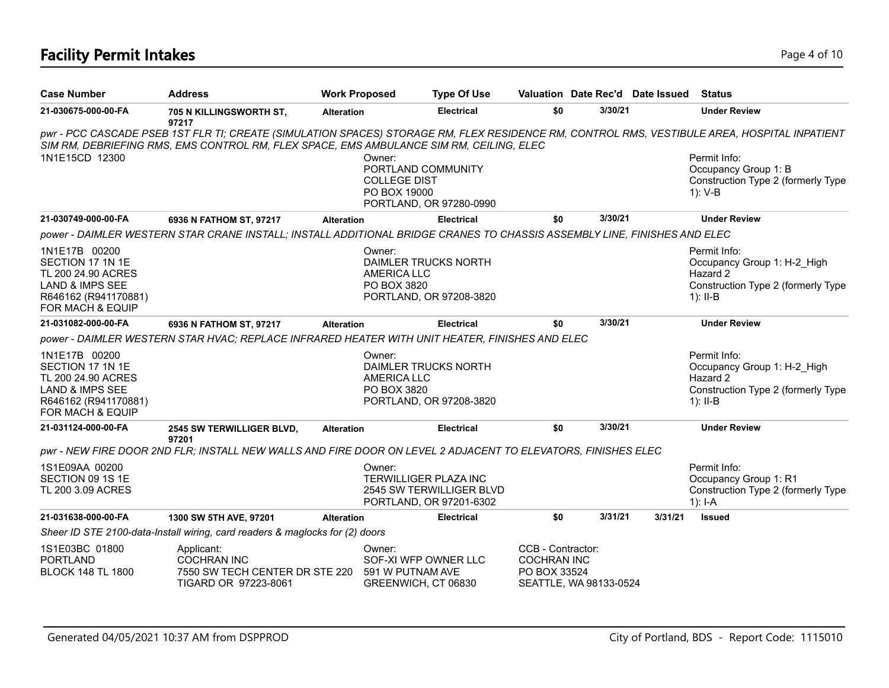# **Facility Permit Intakes** Page 4 of 10

| <b>Case Number</b>                                                                                                                | <b>Address</b>                                                                                                           | <b>Work Proposed</b> |                                                                                                | <b>Type Of Use</b>       |                                                         |                        | Valuation Date Rec'd Date Issued | Status                                                                                                                                       |
|-----------------------------------------------------------------------------------------------------------------------------------|--------------------------------------------------------------------------------------------------------------------------|----------------------|------------------------------------------------------------------------------------------------|--------------------------|---------------------------------------------------------|------------------------|----------------------------------|----------------------------------------------------------------------------------------------------------------------------------------------|
| 21-030675-000-00-FA                                                                                                               | 705 N KILLINGSWORTH ST,<br>97217                                                                                         | <b>Alteration</b>    |                                                                                                | <b>Electrical</b>        | \$0                                                     | 3/30/21                |                                  | <b>Under Review</b>                                                                                                                          |
|                                                                                                                                   | SIM RM, DEBRIEFING RMS, EMS CONTROL RM, FLEX SPACE, EMS AMBULANCE SIM RM, CEILING, ELEC                                  |                      |                                                                                                |                          |                                                         |                        |                                  | pwr - PCC CASCADE PSEB 1ST FLR TI; CREATE (SIMULATION SPACES) STORAGE RM, FLEX RESIDENCE RM, CONTROL RMS, VESTIBULE AREA, HOSPITAL INPATIENT |
| 1N1E15CD 12300                                                                                                                    |                                                                                                                          |                      | Owner:<br>PORTLAND COMMUNITY<br><b>COLLEGE DIST</b><br>PO BOX 19000<br>PORTLAND, OR 97280-0990 |                          |                                                         |                        |                                  | Permit Info:<br>Occupancy Group 1: B<br>Construction Type 2 (formerly Type<br>$1)$ : V-B                                                     |
| 21-030749-000-00-FA                                                                                                               | 6936 N FATHOM ST, 97217                                                                                                  | <b>Alteration</b>    |                                                                                                | <b>Electrical</b>        | \$0                                                     | 3/30/21                |                                  | <b>Under Review</b>                                                                                                                          |
|                                                                                                                                   | power - DAIMLER WESTERN STAR CRANE INSTALL; INSTALL ADDITIONAL BRIDGE CRANES TO CHASSIS ASSEMBLY LINE, FINISHES AND ELEC |                      |                                                                                                |                          |                                                         |                        |                                  |                                                                                                                                              |
| 1N1E17B 00200<br>SECTION 17 1N 1E<br>TL 200 24.90 ACRES<br><b>LAND &amp; IMPS SEE</b><br>R646162 (R941170881)<br>FOR MACH & EQUIP |                                                                                                                          |                      | Owner:<br>DAIMLER TRUCKS NORTH<br><b>AMERICA LLC</b><br>PO BOX 3820<br>PORTLAND, OR 97208-3820 |                          |                                                         |                        |                                  | Permit Info:<br>Occupancy Group 1: H-2 High<br>Hazard 2<br>Construction Type 2 (formerly Type<br>$1$ : II-B                                  |
| 21-031082-000-00-FA                                                                                                               | 6936 N FATHOM ST, 97217                                                                                                  | <b>Alteration</b>    |                                                                                                | <b>Electrical</b>        | \$0                                                     | 3/30/21                |                                  | <b>Under Review</b>                                                                                                                          |
|                                                                                                                                   | power - DAIMLER WESTERN STAR HVAC; REPLACE INFRARED HEATER WITH UNIT HEATER, FINISHES AND ELEC                           |                      |                                                                                                |                          |                                                         |                        |                                  |                                                                                                                                              |
| 1N1E17B 00200<br>SECTION 17 1N 1E<br>TL 200 24.90 ACRES<br><b>LAND &amp; IMPS SEE</b><br>R646162 (R941170881)<br>FOR MACH & EQUIP |                                                                                                                          |                      | Owner:<br>DAIMLER TRUCKS NORTH<br><b>AMERICA LLC</b><br>PO BOX 3820<br>PORTLAND, OR 97208-3820 |                          |                                                         |                        |                                  | Permit Info:<br>Occupancy Group 1: H-2_High<br>Hazard 2<br>Construction Type 2 (formerly Type<br>$1$ : II-B                                  |
| 21-031124-000-00-FA                                                                                                               | 2545 SW TERWILLIGER BLVD,<br>97201                                                                                       | <b>Alteration</b>    |                                                                                                | <b>Electrical</b>        | \$0                                                     | 3/30/21                |                                  | <b>Under Review</b>                                                                                                                          |
|                                                                                                                                   | pwr - NEW FIRE DOOR 2ND FLR; INSTALL NEW WALLS AND FIRE DOOR ON LEVEL 2 ADJACENT TO ELEVATORS, FINISHES ELEC             |                      |                                                                                                |                          |                                                         |                        |                                  |                                                                                                                                              |
| 1S1E09AA 00200<br>SECTION 09 1S 1E<br>TL 200 3.09 ACRES                                                                           |                                                                                                                          |                      | Owner:<br><b>TERWILLIGER PLAZA INC</b><br>PORTLAND, OR 97201-6302                              | 2545 SW TERWILLIGER BLVD |                                                         |                        |                                  | Permit Info:<br>Occupancy Group 1: R1<br>Construction Type 2 (formerly Type<br>$1$ : I-A                                                     |
| 21-031638-000-00-FA                                                                                                               | 1300 SW 5TH AVE, 97201                                                                                                   | <b>Alteration</b>    |                                                                                                | <b>Electrical</b>        | \$0                                                     | 3/31/21                | 3/31/21                          | <b>Issued</b>                                                                                                                                |
|                                                                                                                                   | Sheer ID STE 2100-data-Install wiring, card readers & maglocks for (2) doors                                             |                      |                                                                                                |                          |                                                         |                        |                                  |                                                                                                                                              |
| 1S1E03BC 01800<br><b>PORTLAND</b><br><b>BLOCK 148 TL 1800</b>                                                                     | Applicant:<br><b>COCHRAN INC</b><br>7550 SW TECH CENTER DR STE 220<br>TIGARD OR 97223-8061                               |                      | Owner:<br>SOF-XI WFP OWNER LLC<br>591 W PUTNAM AVE<br>GREENWICH, CT 06830                      |                          | CCB - Contractor:<br><b>COCHRAN INC</b><br>PO BOX 33524 | SEATTLE, WA 98133-0524 |                                  |                                                                                                                                              |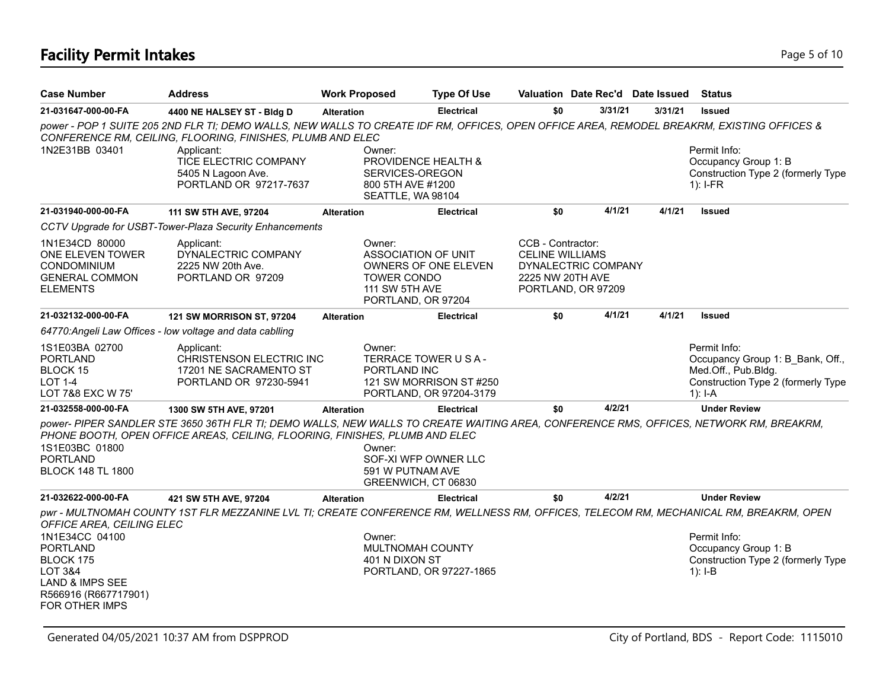# **Facility Permit Intakes** Page 5 of 10

| <b>Case Number</b>                                                                                                     | <b>Address</b>                                                                                                                                                                                                        | <b>Work Proposed</b> | <b>Type Of Use</b>                                                                                        |                                                                 | Valuation Date Rec'd Date Issued          |         | <b>Status</b>                                                                                                              |
|------------------------------------------------------------------------------------------------------------------------|-----------------------------------------------------------------------------------------------------------------------------------------------------------------------------------------------------------------------|----------------------|-----------------------------------------------------------------------------------------------------------|-----------------------------------------------------------------|-------------------------------------------|---------|----------------------------------------------------------------------------------------------------------------------------|
| 21-031647-000-00-FA                                                                                                    | 4400 NE HALSEY ST - Bldg D                                                                                                                                                                                            | <b>Alteration</b>    | <b>Electrical</b>                                                                                         | \$0                                                             | 3/31/21                                   | 3/31/21 | <b>Issued</b>                                                                                                              |
|                                                                                                                        | power - POP 1 SUITE 205 2ND FLR TI; DEMO WALLS, NEW WALLS TO CREATE IDF RM, OFFICES, OPEN OFFICE AREA, REMODEL BREAKRM, EXISTING OFFICES &<br>CONFERENCE RM, CEILING, FLOORING, FINISHES, PLUMB AND ELEC              |                      |                                                                                                           |                                                                 |                                           |         |                                                                                                                            |
| 1N2E31BB 03401                                                                                                         | Applicant:<br>TICE ELECTRIC COMPANY<br>5405 N Lagoon Ave.<br>PORTLAND OR 97217-7637                                                                                                                                   | Owner:               | PROVIDENCE HEALTH &<br>SERVICES-OREGON<br>800 5TH AVE #1200<br>SEATTLE, WA 98104                          |                                                                 |                                           |         | Permit Info:<br>Occupancy Group 1: B<br>Construction Type 2 (formerly Type<br>$1$ : I-FR                                   |
| 21-031940-000-00-FA                                                                                                    | 111 SW 5TH AVE, 97204                                                                                                                                                                                                 | <b>Alteration</b>    | <b>Electrical</b>                                                                                         | \$0                                                             | 4/1/21                                    | 4/1/21  | <b>Issued</b>                                                                                                              |
|                                                                                                                        | CCTV Upgrade for USBT-Tower-Plaza Security Enhancements                                                                                                                                                               |                      |                                                                                                           |                                                                 |                                           |         |                                                                                                                            |
| 1N1E34CD 80000<br>ONE ELEVEN TOWER<br><b>CONDOMINIUM</b><br><b>GENERAL COMMON</b><br><b>ELEMENTS</b>                   | Applicant:<br>DYNALECTRIC COMPANY<br>2225 NW 20th Ave.<br>PORTLAND OR 97209                                                                                                                                           | Owner:               | ASSOCIATION OF UNIT<br>OWNERS OF ONE ELEVEN<br><b>TOWER CONDO</b><br>111 SW 5TH AVE<br>PORTLAND, OR 97204 | CCB - Contractor:<br><b>CELINE WILLIAMS</b><br>2225 NW 20TH AVE | DYNALECTRIC COMPANY<br>PORTLAND, OR 97209 |         |                                                                                                                            |
| 21-032132-000-00-FA                                                                                                    | 121 SW MORRISON ST, 97204                                                                                                                                                                                             | <b>Alteration</b>    | <b>Electrical</b>                                                                                         | \$0                                                             | 4/1/21                                    | 4/1/21  | <b>Issued</b>                                                                                                              |
|                                                                                                                        | 64770: Angeli Law Offices - low voltage and data cabiling                                                                                                                                                             |                      |                                                                                                           |                                                                 |                                           |         |                                                                                                                            |
| 1S1E03BA 02700<br><b>PORTLAND</b><br>BLOCK 15<br><b>LOT 1-4</b><br>LOT 7&8 EXC W 75'                                   | Applicant:<br>CHRISTENSON ELECTRIC INC<br>17201 NE SACRAMENTO ST<br>PORTLAND OR 97230-5941                                                                                                                            | Owner:               | TERRACE TOWER USA-<br>PORTLAND INC<br>121 SW MORRISON ST #250<br>PORTLAND, OR 97204-3179                  |                                                                 |                                           |         | Permit Info:<br>Occupancy Group 1: B_Bank, Off.,<br>Med.Off., Pub.Bldg.<br>Construction Type 2 (formerly Type<br>$1$ : I-A |
| 21-032558-000-00-FA                                                                                                    | 1300 SW 5TH AVE, 97201                                                                                                                                                                                                | <b>Alteration</b>    | <b>Electrical</b>                                                                                         | \$0                                                             | 4/2/21                                    |         | <b>Under Review</b>                                                                                                        |
| 1S1E03BC 01800<br><b>PORTLAND</b><br><b>BLOCK 148 TL 1800</b>                                                          | power- PIPER SANDLER STE 3650 36TH FLR TI; DEMO WALLS, NEW WALLS TO CREATE WAITING AREA, CONFERENCE RMS, OFFICES, NETWORK RM, BREAKRM,<br>PHONE BOOTH, OPEN OFFICE AREAS, CEILING, FLOORING, FINISHES, PLUMB AND ELEC | Owner:               | SOF-XI WFP OWNER LLC<br>591 W PUTNAM AVE<br>GREENWICH, CT 06830                                           |                                                                 |                                           |         |                                                                                                                            |
| 21-032622-000-00-FA                                                                                                    | 421 SW 5TH AVE, 97204                                                                                                                                                                                                 | <b>Alteration</b>    | <b>Electrical</b>                                                                                         | \$0                                                             | 4/2/21                                    |         | <b>Under Review</b>                                                                                                        |
| OFFICE AREA, CEILING ELEC                                                                                              | pwr - MULTNOMAH COUNTY 1ST FLR MEZZANINE LVL TI; CREATE CONFERENCE RM, WELLNESS RM, OFFICES, TELECOM RM, MECHANICAL RM, BREAKRM, OPEN                                                                                 |                      |                                                                                                           |                                                                 |                                           |         |                                                                                                                            |
| 1N1E34CC 04100<br><b>PORTLAND</b><br>BLOCK 175<br>LOT 3&4<br>LAND & IMPS SEE<br>R566916 (R667717901)<br>FOR OTHER IMPS |                                                                                                                                                                                                                       | Owner:               | <b>MULTNOMAH COUNTY</b><br>401 N DIXON ST<br>PORTLAND, OR 97227-1865                                      |                                                                 |                                           |         | Permit Info:<br>Occupancy Group 1: B<br>Construction Type 2 (formerly Type<br>$1$ : I-B                                    |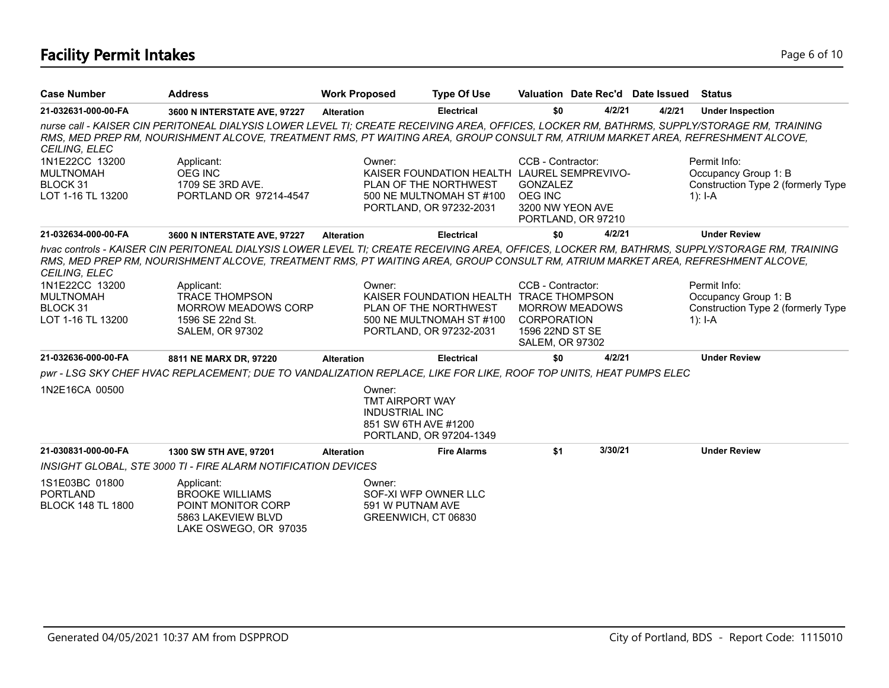# **Facility Permit Intakes** Page 6 of 10

| <b>Case Number</b>                                                  | <b>Address</b>                                                                                                                                                                                                                                                                 | <b>Work Proposed</b> |                                                                                   | <b>Type Of Use</b>                                                                                                          |                                                                                      |                       | Valuation Date Rec'd Date Issued | <b>Status</b>                                                                                                                                  |
|---------------------------------------------------------------------|--------------------------------------------------------------------------------------------------------------------------------------------------------------------------------------------------------------------------------------------------------------------------------|----------------------|-----------------------------------------------------------------------------------|-----------------------------------------------------------------------------------------------------------------------------|--------------------------------------------------------------------------------------|-----------------------|----------------------------------|------------------------------------------------------------------------------------------------------------------------------------------------|
| 21-032631-000-00-FA                                                 | 3600 N INTERSTATE AVE, 97227                                                                                                                                                                                                                                                   | <b>Alteration</b>    |                                                                                   | <b>Electrical</b>                                                                                                           | \$0                                                                                  | 4/2/21                | 4/2/21                           | <b>Under Inspection</b>                                                                                                                        |
| CEILING, ELEC                                                       | nurse call - KAISER CIN PERITONEAL DIALYSIS LOWER LEVEL TI; CREATE RECEIVING AREA, OFFICES, LOCKER RM, BATHRMS, SUPPLY/STORAGE RM, TRAINING<br>RMS, MED PREP RM, NOURISHMENT ALCOVE, TREATMENT RMS, PT WAITING AREA, GROUP CONSULT RM, ATRIUM MARKET AREA, REFRESHMENT ALCOVE, |                      |                                                                                   |                                                                                                                             |                                                                                      |                       |                                  |                                                                                                                                                |
| 1N1E22CC 13200<br><b>MULTNOMAH</b><br>BLOCK 31<br>LOT 1-16 TL 13200 | Applicant:<br>OEG INC<br>1709 SE 3RD AVE.<br>PORTLAND OR 97214-4547                                                                                                                                                                                                            |                      | Owner:                                                                            | KAISER FOUNDATION HEALTH LAUREL SEMPREVIVO-<br>PLAN OF THE NORTHWEST<br>500 NE MULTNOMAH ST #100<br>PORTLAND, OR 97232-2031 | CCB - Contractor:<br><b>GONZALEZ</b><br><b>OEG INC</b><br>3200 NW YEON AVE           | PORTLAND, OR 97210    |                                  | Permit Info:<br>Occupancy Group 1: B<br>Construction Type 2 (formerly Type<br>1): $I-A$                                                        |
| 21-032634-000-00-FA                                                 | 3600 N INTERSTATE AVE, 97227                                                                                                                                                                                                                                                   | <b>Alteration</b>    |                                                                                   | <b>Electrical</b>                                                                                                           | \$0                                                                                  | 4/2/21                |                                  | <b>Under Review</b>                                                                                                                            |
| <b>CEILING, ELEC</b>                                                | RMS, MED PREP RM, NOURISHMENT ALCOVE, TREATMENT RMS, PT WAITING AREA, GROUP CONSULT RM, ATRIUM MARKET AREA, REFRESHMENT ALCOVE,                                                                                                                                                |                      |                                                                                   |                                                                                                                             |                                                                                      |                       |                                  | hvac controls - KAISER CIN PERITONEAL DIALYSIS LOWER LEVEL TI; CREATE RECEIVING AREA, OFFICES, LOCKER RM, BATHRMS, SUPPLY/STORAGE RM, TRAINING |
| 1N1E22CC 13200<br><b>MULTNOMAH</b><br>BLOCK 31<br>LOT 1-16 TL 13200 | Applicant:<br><b>TRACE THOMPSON</b><br><b>MORROW MEADOWS CORP</b><br>1596 SE 22nd St.<br><b>SALEM, OR 97302</b>                                                                                                                                                                |                      | Owner:                                                                            | KAISER FOUNDATION HEALTH TRACE THOMPSON<br>PLAN OF THE NORTHWEST<br>500 NE MULTNOMAH ST #100<br>PORTLAND, OR 97232-2031     | CCB - Contractor:<br><b>CORPORATION</b><br>1596 22ND ST SE<br><b>SALEM, OR 97302</b> | <b>MORROW MEADOWS</b> |                                  | Permit Info:<br>Occupancy Group 1: B<br>Construction Type 2 (formerly Type<br>1): $I - A$                                                      |
| 21-032636-000-00-FA                                                 | 8811 NE MARX DR, 97220                                                                                                                                                                                                                                                         | <b>Alteration</b>    |                                                                                   | <b>Electrical</b>                                                                                                           | \$0                                                                                  | 4/2/21                |                                  | <b>Under Review</b>                                                                                                                            |
|                                                                     | pwr - LSG SKY CHEF HVAC REPLACEMENT; DUE TO VANDALIZATION REPLACE, LIKE FOR LIKE, ROOF TOP UNITS, HEAT PUMPS ELEC                                                                                                                                                              |                      |                                                                                   |                                                                                                                             |                                                                                      |                       |                                  |                                                                                                                                                |
| 1N2E16CA 00500                                                      |                                                                                                                                                                                                                                                                                |                      | Owner:<br><b>TMT AIRPORT WAY</b><br><b>INDUSTRIAL INC</b><br>851 SW 6TH AVE #1200 | PORTLAND, OR 97204-1349                                                                                                     |                                                                                      |                       |                                  |                                                                                                                                                |
| 21-030831-000-00-FA                                                 | 1300 SW 5TH AVE, 97201                                                                                                                                                                                                                                                         | <b>Alteration</b>    |                                                                                   | <b>Fire Alarms</b>                                                                                                          | \$1                                                                                  | 3/30/21               |                                  | <b>Under Review</b>                                                                                                                            |
|                                                                     | <b>INSIGHT GLOBAL, STE 3000 TI - FIRE ALARM NOTIFICATION DEVICES</b>                                                                                                                                                                                                           |                      |                                                                                   |                                                                                                                             |                                                                                      |                       |                                  |                                                                                                                                                |
| 1S1E03BC 01800<br><b>PORTLAND</b><br><b>BLOCK 148 TL 1800</b>       | Applicant:<br><b>BROOKE WILLIAMS</b><br>POINT MONITOR CORP<br>5863 LAKEVIEW BLVD<br>LAKE OSWEGO, OR 97035                                                                                                                                                                      |                      | Owner:<br>SOF-XI WFP OWNER LLC<br>591 W PUTNAM AVE<br>GREENWICH, CT 06830         |                                                                                                                             |                                                                                      |                       |                                  |                                                                                                                                                |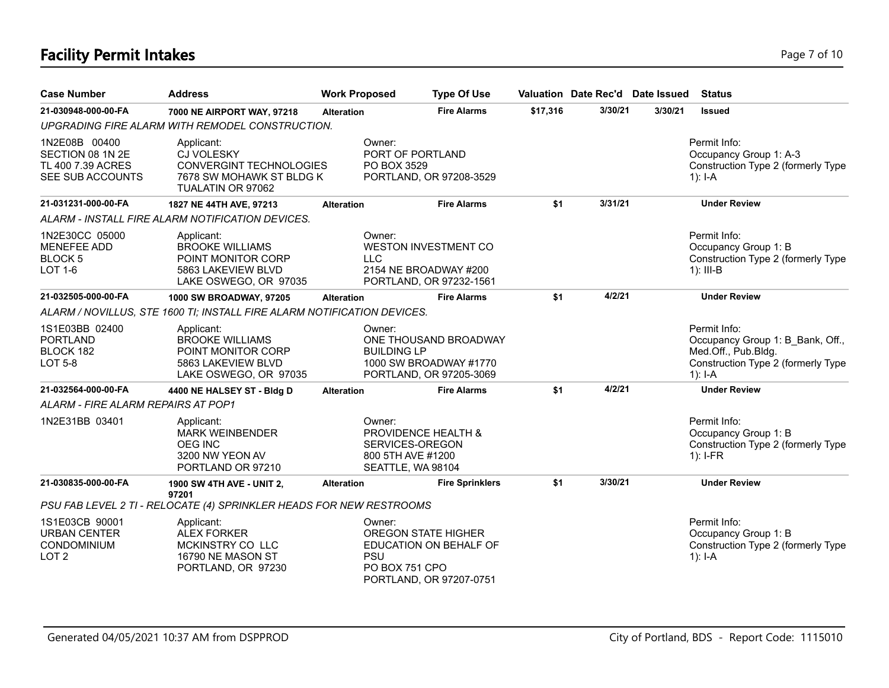# **Facility Permit Intakes** Page 7 of 10

| <b>Case Number</b>                                                         | <b>Address</b>                                                                                                     | <b>Work Proposed</b>                                                | <b>Type Of Use</b>                                                              |          |         | Valuation Date Rec'd Date Issued | <b>Status</b>                                                                                                              |
|----------------------------------------------------------------------------|--------------------------------------------------------------------------------------------------------------------|---------------------------------------------------------------------|---------------------------------------------------------------------------------|----------|---------|----------------------------------|----------------------------------------------------------------------------------------------------------------------------|
| 21-030948-000-00-FA                                                        | 7000 NE AIRPORT WAY, 97218                                                                                         | <b>Alteration</b>                                                   | <b>Fire Alarms</b>                                                              | \$17,316 | 3/30/21 | 3/30/21                          | <b>Issued</b>                                                                                                              |
|                                                                            | UPGRADING FIRE ALARM WITH REMODEL CONSTRUCTION.                                                                    |                                                                     |                                                                                 |          |         |                                  |                                                                                                                            |
| 1N2E08B 00400<br>SECTION 08 1N 2E<br>TL 400 7.39 ACRES<br>SEE SUB ACCOUNTS | Applicant:<br><b>CJ VOLESKY</b><br><b>CONVERGINT TECHNOLOGIES</b><br>7678 SW MOHAWK ST BLDG K<br>TUALATIN OR 97062 | Owner:<br>PO BOX 3529                                               | PORT OF PORTLAND<br>PORTLAND, OR 97208-3529                                     |          |         |                                  | Permit Info:<br>Occupancy Group 1: A-3<br>Construction Type 2 (formerly Type<br>1): $I - A$                                |
| 21-031231-000-00-FA                                                        | 1827 NE 44TH AVE, 97213                                                                                            | <b>Alteration</b>                                                   | <b>Fire Alarms</b>                                                              | \$1      | 3/31/21 |                                  | <b>Under Review</b>                                                                                                        |
|                                                                            | ALARM - INSTALL FIRE ALARM NOTIFICATION DEVICES.                                                                   |                                                                     |                                                                                 |          |         |                                  |                                                                                                                            |
| 1N2E30CC 05000<br><b>MENEFEE ADD</b><br><b>BLOCK 5</b><br>LOT 1-6          | Applicant:<br><b>BROOKE WILLIAMS</b><br>POINT MONITOR CORP<br>5863 LAKEVIEW BLVD<br>LAKE OSWEGO, OR 97035          | Owner:<br><b>LLC</b>                                                | <b>WESTON INVESTMENT CO</b><br>2154 NE BROADWAY #200<br>PORTLAND, OR 97232-1561 |          |         |                                  | Permit Info:<br>Occupancy Group 1: B<br>Construction Type 2 (formerly Type<br>$1$ : III-B                                  |
| 21-032505-000-00-FA                                                        | 1000 SW BROADWAY, 97205                                                                                            | <b>Alteration</b>                                                   | <b>Fire Alarms</b>                                                              | \$1      | 4/2/21  |                                  | <b>Under Review</b>                                                                                                        |
|                                                                            | ALARM / NOVILLUS, STE 1600 TI; INSTALL FIRE ALARM NOTIFICATION DEVICES.                                            |                                                                     |                                                                                 |          |         |                                  |                                                                                                                            |
| 1S1E03BB 02400<br><b>PORTLAND</b><br>BLOCK 182<br><b>LOT 5-8</b>           | Applicant:<br><b>BROOKE WILLIAMS</b><br>POINT MONITOR CORP<br>5863 LAKEVIEW BLVD<br>LAKE OSWEGO, OR 97035          | Owner:<br><b>BUILDING LP</b>                                        | ONE THOUSAND BROADWAY<br>1000 SW BROADWAY #1770<br>PORTLAND, OR 97205-3069      |          |         |                                  | Permit Info:<br>Occupancy Group 1: B Bank, Off.,<br>Med.Off., Pub.Bldg.<br>Construction Type 2 (formerly Type<br>$1$ : I-A |
| 21-032564-000-00-FA                                                        | 4400 NE HALSEY ST - Bldg D                                                                                         | <b>Alteration</b>                                                   | <b>Fire Alarms</b>                                                              | \$1      | 4/2/21  |                                  | <b>Under Review</b>                                                                                                        |
| <b>ALARM - FIRE ALARM REPAIRS AT POP1</b>                                  |                                                                                                                    |                                                                     |                                                                                 |          |         |                                  |                                                                                                                            |
| 1N2E31BB 03401                                                             | Applicant:<br><b>MARK WEINBENDER</b><br><b>OEG INC</b><br>3200 NW YEON AV<br>PORTLAND OR 97210                     | Owner:<br>SERVICES-OREGON<br>800 5TH AVE #1200<br>SEATTLE, WA 98104 | <b>PROVIDENCE HEALTH &amp;</b>                                                  |          |         |                                  | Permit Info:<br>Occupancy Group 1: B<br>Construction Type 2 (formerly Type<br>$1$ : I-FR                                   |
| 21-030835-000-00-FA                                                        | 1900 SW 4TH AVE - UNIT 2,<br>97201                                                                                 | <b>Alteration</b>                                                   | <b>Fire Sprinklers</b>                                                          | \$1      | 3/30/21 |                                  | <b>Under Review</b>                                                                                                        |
|                                                                            | PSU FAB LEVEL 2 TI - RELOCATE (4) SPRINKLER HEADS FOR NEW RESTROOMS                                                |                                                                     |                                                                                 |          |         |                                  |                                                                                                                            |
| 1S1E03CB 90001<br><b>URBAN CENTER</b><br>CONDOMINIUM<br>LOT <sub>2</sub>   | Applicant:<br><b>ALEX FORKER</b><br>MCKINSTRY CO LLC<br>16790 NE MASON ST<br>PORTLAND, OR 97230                    | Owner:<br><b>PSU</b><br>PO BOX 751 CPO                              | <b>OREGON STATE HIGHER</b><br>EDUCATION ON BEHALF OF<br>PORTLAND, OR 97207-0751 |          |         |                                  | Permit Info:<br>Occupancy Group 1: B<br>Construction Type 2 (formerly Type<br>1): $I - A$                                  |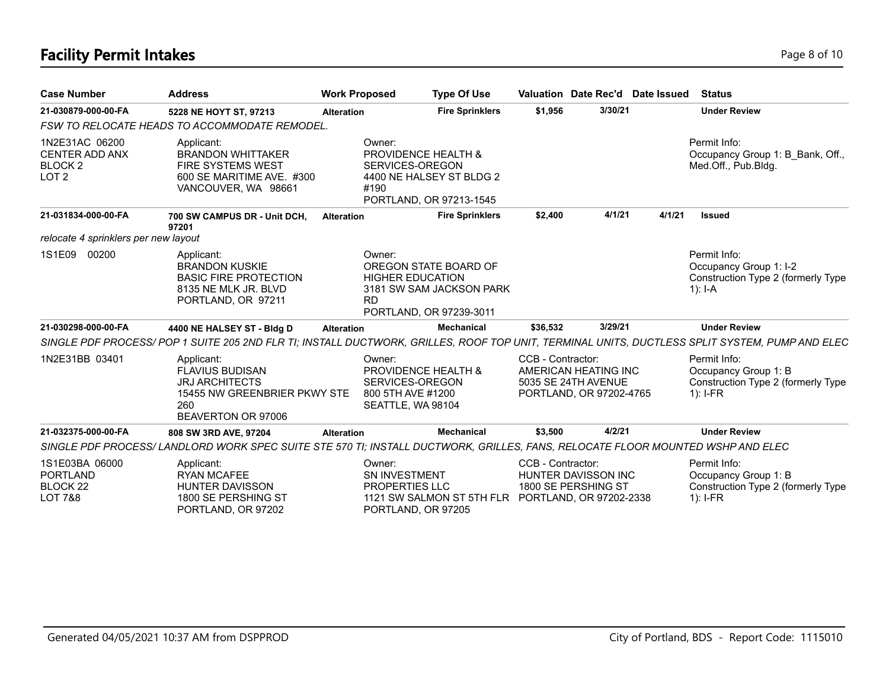# **Facility Permit Intakes** Page 8 of 10

| <b>Case Number</b>                                                             | <b>Address</b>                                                                                                                                | <b>Work Proposed</b> |                                                                                                       | <b>Type Of Use</b>                                                           |                   | Valuation Date Rec'd Date Issued                                       |        | <b>Status</b>                                                                             |
|--------------------------------------------------------------------------------|-----------------------------------------------------------------------------------------------------------------------------------------------|----------------------|-------------------------------------------------------------------------------------------------------|------------------------------------------------------------------------------|-------------------|------------------------------------------------------------------------|--------|-------------------------------------------------------------------------------------------|
| 21-030879-000-00-FA                                                            | 5228 NE HOYT ST, 97213                                                                                                                        | <b>Alteration</b>    |                                                                                                       | <b>Fire Sprinklers</b>                                                       | \$1,956           | 3/30/21                                                                |        | <b>Under Review</b>                                                                       |
|                                                                                | FSW TO RELOCATE HEADS TO ACCOMMODATE REMODEL.                                                                                                 |                      |                                                                                                       |                                                                              |                   |                                                                        |        |                                                                                           |
| 1N2E31AC 06200<br><b>CENTER ADD ANX</b><br><b>BLOCK 2</b><br>LOT <sub>2</sub>  | Applicant:<br><b>BRANDON WHITTAKER</b><br><b>FIRE SYSTEMS WEST</b><br>600 SE MARITIME AVE. #300<br>VANCOUVER, WA 98661                        |                      | Owner:<br><b>PROVIDENCE HEALTH &amp;</b><br>SERVICES-OREGON<br>#190                                   | 4400 NE HALSEY ST BLDG 2<br>PORTLAND, OR 97213-1545                          |                   |                                                                        |        | Permit Info:<br>Occupancy Group 1: B Bank, Off.,<br>Med.Off., Pub.Bldg.                   |
| 21-031834-000-00-FA                                                            | 700 SW CAMPUS DR - Unit DCH,<br>97201                                                                                                         | <b>Alteration</b>    |                                                                                                       | <b>Fire Sprinklers</b>                                                       | \$2,400           | 4/1/21                                                                 | 4/1/21 | <b>Issued</b>                                                                             |
| relocate 4 sprinklers per new layout                                           |                                                                                                                                               |                      |                                                                                                       |                                                                              |                   |                                                                        |        |                                                                                           |
| 1S1E09<br>00200                                                                | Applicant:<br><b>BRANDON KUSKIE</b><br><b>BASIC FIRE PROTECTION</b><br>8135 NE MLK JR. BLVD<br>PORTLAND, OR 97211                             |                      | Owner:<br><b>HIGHER EDUCATION</b><br><b>RD</b>                                                        | OREGON STATE BOARD OF<br>3181 SW SAM JACKSON PARK<br>PORTLAND, OR 97239-3011 |                   |                                                                        |        | Permit Info:<br>Occupancy Group 1: I-2<br>Construction Type 2 (formerly Type<br>1): $I-A$ |
| 21-030298-000-00-FA                                                            | 4400 NE HALSEY ST - Bldg D                                                                                                                    | <b>Alteration</b>    |                                                                                                       | Mechanical                                                                   | \$36,532          | 3/29/21                                                                |        | <b>Under Review</b>                                                                       |
|                                                                                | SINGLE PDF PROCESS/POP 1 SUITE 205 2ND FLR TI; INSTALL DUCTWORK, GRILLES, ROOF TOP UNIT, TERMINAL UNITS, DUCTLESS SPLIT SYSTEM, PUMP AND ELEC |                      |                                                                                                       |                                                                              |                   |                                                                        |        |                                                                                           |
| 1N2E31BB 03401                                                                 | Applicant:<br><b>FLAVIUS BUDISAN</b><br><b>JRJ ARCHITECTS</b><br>15455 NW GREENBRIER PKWY STE<br>260<br>BEAVERTON OR 97006                    |                      | Owner:<br><b>PROVIDENCE HEALTH &amp;</b><br>SERVICES-OREGON<br>800 5TH AVE #1200<br>SEATTLE, WA 98104 |                                                                              | CCB - Contractor: | AMERICAN HEATING INC<br>5035 SE 24TH AVENUE<br>PORTLAND, OR 97202-4765 |        | Permit Info:<br>Occupancy Group 1: B<br>Construction Type 2 (formerly Type<br>$1$ : I-FR  |
| 21-032375-000-00-FA                                                            | 808 SW 3RD AVE, 97204                                                                                                                         | <b>Alteration</b>    |                                                                                                       | Mechanical                                                                   | \$3,500           | 4/2/21                                                                 |        | <b>Under Review</b>                                                                       |
|                                                                                | SINGLE PDF PROCESS/ LANDLORD WORK SPEC SUITE STE 570 TI; INSTALL DUCTWORK, GRILLES, FANS, RELOCATE FLOOR MOUNTED WSHP AND ELEC                |                      |                                                                                                       |                                                                              |                   |                                                                        |        |                                                                                           |
| 1S1E03BA 06000<br><b>PORTLAND</b><br>BLOCK <sub>22</sub><br><b>LOT 7&amp;8</b> | Applicant:<br><b>RYAN MCAFEE</b><br><b>HUNTER DAVISSON</b><br>1800 SE PERSHING ST<br>PORTLAND, OR 97202                                       |                      | Owner:<br><b>SN INVESTMENT</b><br><b>PROPERTIES LLC</b><br>PORTLAND, OR 97205                         | 1121 SW SALMON ST 5TH FLR PORTLAND, OR 97202-2338                            | CCB - Contractor: | HUNTER DAVISSON INC<br>1800 SE PERSHING ST                             |        | Permit Info:<br>Occupancy Group 1: B<br>Construction Type 2 (formerly Type<br>$1$ : I-FR  |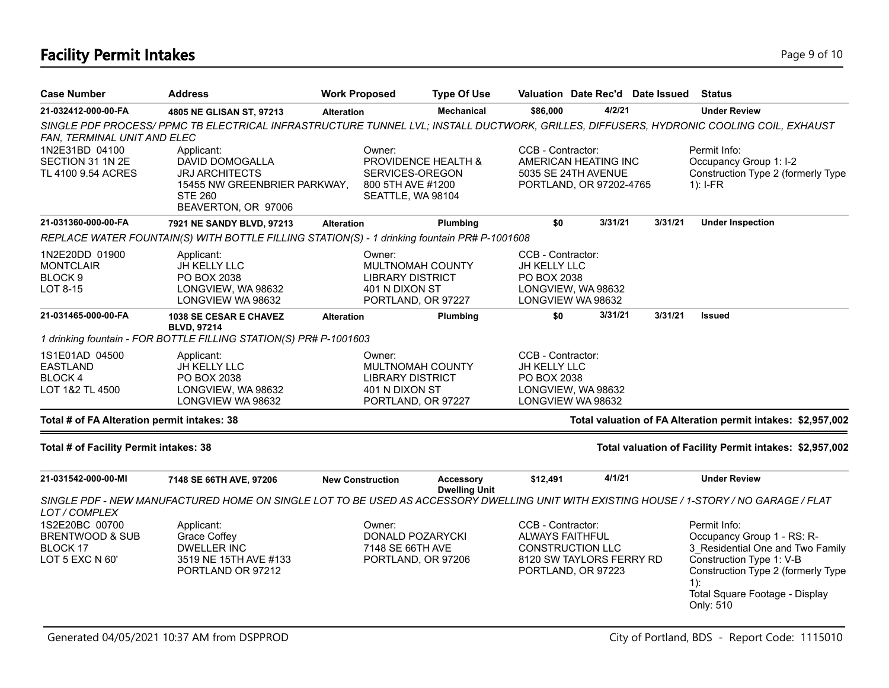# **Facility Permit Intakes** Page 9 of 10

| <b>Case Number</b>                                                          | <b>Address</b>                                                                                                                          | <b>Work Proposed</b>                                                | <b>Type Of Use</b>                       | Valuation Date Rec'd Date Issued                                                                                         |                                                                                             |         | <b>Status</b>                                                                                                                                                                                            |
|-----------------------------------------------------------------------------|-----------------------------------------------------------------------------------------------------------------------------------------|---------------------------------------------------------------------|------------------------------------------|--------------------------------------------------------------------------------------------------------------------------|---------------------------------------------------------------------------------------------|---------|----------------------------------------------------------------------------------------------------------------------------------------------------------------------------------------------------------|
| 21-032412-000-00-FA                                                         | 4805 NE GLISAN ST, 97213                                                                                                                | <b>Alteration</b>                                                   | <b>Mechanical</b>                        | \$86,000                                                                                                                 | 4/2/21                                                                                      |         | <b>Under Review</b>                                                                                                                                                                                      |
| FAN, TERMINAL UNIT AND ELEC                                                 | SINGLE PDF PROCESS/PPMC TB ELECTRICAL INFRASTRUCTURE TUNNEL LVL; INSTALL DUCTWORK, GRILLES, DIFFUSERS, HYDRONIC COOLING COIL, EXHAUST   |                                                                     |                                          |                                                                                                                          |                                                                                             |         |                                                                                                                                                                                                          |
| 1N2E31BD 04100<br>SECTION 31 1N 2E<br>TL 4100 9.54 ACRES                    | Applicant:<br>DAVID DOMOGALLA<br><b>JRJ ARCHITECTS</b><br>15455 NW GREENBRIER PARKWAY,<br><b>STE 260</b><br>BEAVERTON, OR 97006         | Owner:<br>SERVICES-OREGON<br>800 5TH AVE #1200<br>SEATTLE, WA 98104 | PROVIDENCE HEALTH &                      |                                                                                                                          | CCB - Contractor:<br>AMERICAN HEATING INC<br>5035 SE 24TH AVENUE<br>PORTLAND, OR 97202-4765 |         | Permit Info:<br>Occupancy Group 1: I-2<br>Construction Type 2 (formerly Type<br>$1$ : I-FR                                                                                                               |
| 21-031360-000-00-FA                                                         | 7921 NE SANDY BLVD, 97213                                                                                                               | <b>Alteration</b>                                                   | Plumbing                                 | \$0                                                                                                                      | 3/31/21                                                                                     | 3/31/21 | <b>Under Inspection</b>                                                                                                                                                                                  |
|                                                                             | REPLACE WATER FOUNTAIN(S) WITH BOTTLE FILLING STATION(S) - 1 drinking fountain PR# P-1001608                                            |                                                                     |                                          |                                                                                                                          |                                                                                             |         |                                                                                                                                                                                                          |
| 1N2E20DD 01900<br><b>MONTCLAIR</b><br>BLOCK <sub>9</sub><br>LOT 8-15        | Applicant:<br>JH KELLY LLC<br>PO BOX 2038<br>LONGVIEW, WA 98632<br>LONGVIEW WA 98632                                                    | Owner:<br><b>LIBRARY DISTRICT</b><br>401 N DIXON ST                 | MULTNOMAH COUNTY<br>PORTLAND, OR 97227   | CCB - Contractor:<br>JH KELLY LLC<br>PO BOX 2038<br>LONGVIEW, WA 98632<br>LONGVIEW WA 98632                              |                                                                                             |         |                                                                                                                                                                                                          |
| 21-031465-000-00-FA                                                         | 1038 SE CESAR E CHAVEZ<br><b>BLVD, 97214</b>                                                                                            | <b>Alteration</b>                                                   | Plumbing                                 | \$0                                                                                                                      | 3/31/21                                                                                     | 3/31/21 | <b>Issued</b>                                                                                                                                                                                            |
|                                                                             | 1 drinking fountain - FOR BOTTLE FILLING STATION(S) PR# P-1001603                                                                       |                                                                     |                                          |                                                                                                                          |                                                                                             |         |                                                                                                                                                                                                          |
| 1S1E01AD 04500<br><b>EASTLAND</b><br><b>BLOCK4</b><br>LOT 1&2 TL 4500       | Applicant:<br>JH KELLY LLC<br>PO BOX 2038<br>LONGVIEW, WA 98632<br>LONGVIEW WA 98632                                                    | Owner:<br>LIBRARY DISTRICT<br>401 N DIXON ST                        | MULTNOMAH COUNTY<br>PORTLAND, OR 97227   | CCB - Contractor:<br>JH KELLY LLC<br>PO BOX 2038<br>LONGVIEW, WA 98632<br>LONGVIEW WA 98632                              |                                                                                             |         |                                                                                                                                                                                                          |
| Total # of FA Alteration permit intakes: 38                                 |                                                                                                                                         |                                                                     |                                          |                                                                                                                          |                                                                                             |         | Total valuation of FA Alteration permit intakes: \$2,957,002                                                                                                                                             |
| Total # of Facility Permit intakes: 38                                      |                                                                                                                                         |                                                                     |                                          |                                                                                                                          |                                                                                             |         | Total valuation of Facility Permit intakes: \$2,957,002                                                                                                                                                  |
| 21-031542-000-00-MI                                                         | 7148 SE 66TH AVE, 97206                                                                                                                 | <b>New Construction</b>                                             | <b>Accessory</b><br><b>Dwelling Unit</b> | \$12,491                                                                                                                 | 4/1/21                                                                                      |         | <b>Under Review</b>                                                                                                                                                                                      |
| LOT/COMPLEX                                                                 | SINGLE PDF - NEW MANUFACTURED HOME ON SINGLE LOT TO BE USED AS ACCESSORY DWELLING UNIT WITH EXISTING HOUSE / 1-STORY / NO GARAGE / FLAT |                                                                     |                                          |                                                                                                                          |                                                                                             |         |                                                                                                                                                                                                          |
| 1S2E20BC 00700<br><b>BRENTWOOD &amp; SUB</b><br>BLOCK 17<br>LOT 5 EXC N 60' | Applicant:<br>Grace Coffey<br><b>DWELLER INC</b><br>3519 NE 15TH AVE #133<br>PORTLAND OR 97212                                          | Owner:<br>7148 SE 66TH AVE                                          | DONALD POZARYCKI<br>PORTLAND, OR 97206   | CCB - Contractor:<br><b>ALWAYS FAITHFUL</b><br><b>CONSTRUCTION LLC</b><br>8120 SW TAYLORS FERRY RD<br>PORTLAND, OR 97223 |                                                                                             |         | Permit Info:<br>Occupancy Group 1 - RS: R-<br>3 Residential One and Two Family<br>Construction Type 1: V-B<br>Construction Type 2 (formerly Type<br>$1$ :<br>Total Square Footage - Display<br>Only: 510 |